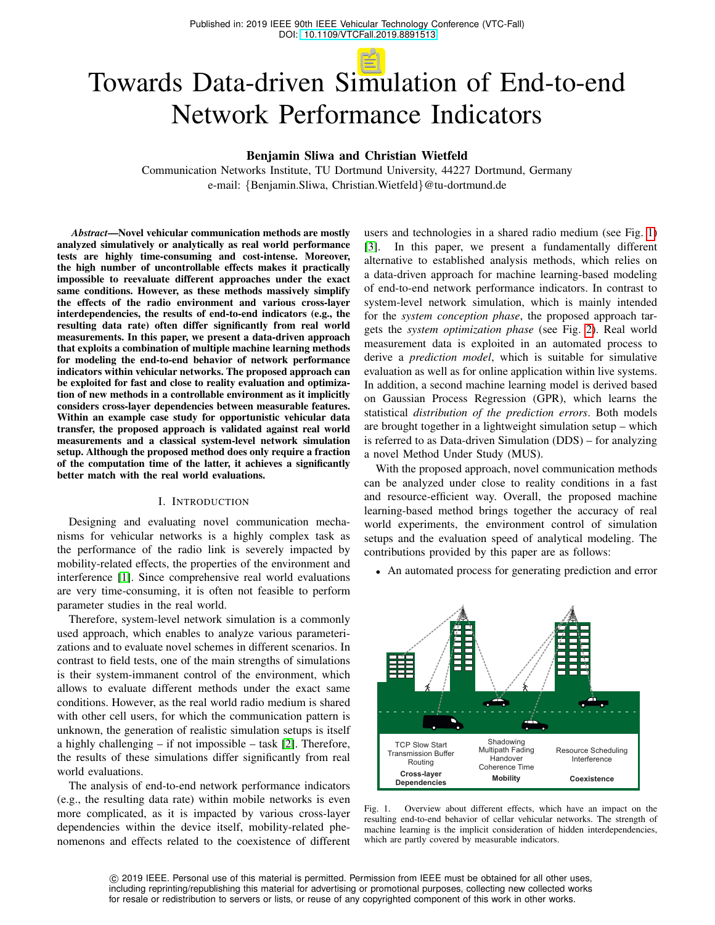# Towards Data-driven Simulation of End-to-end Network Performance Indicators

Benjamin Sliwa and Christian Wietfeld

Communication Networks Institute, TU Dortmund University, 44227 Dortmund, Germany e-mail: {Benjamin.Sliwa, Christian.Wietfeld}@tu-dortmund.de

*Abstract*—Novel vehicular communication methods are mostly analyzed simulatively or analytically as real world performance tests are highly time-consuming and cost-intense. Moreover, the high number of uncontrollable effects makes it practically impossible to reevaluate different approaches under the exact same conditions. However, as these methods massively simplify the effects of the radio environment and various cross-layer interdependencies, the results of end-to-end indicators (e.g., the resulting data rate) often differ significantly from real world measurements. In this paper, we present a data-driven approach that exploits a combination of multiple machine learning methods for modeling the end-to-end behavior of network performance indicators within vehicular networks. The proposed approach can be exploited for fast and close to reality evaluation and optimization of new methods in a controllable environment as it implicitly considers cross-layer dependencies between measurable features. Within an example case study for opportunistic vehicular data transfer, the proposed approach is validated against real world measurements and a classical system-level network simulation setup. Although the proposed method does only require a fraction of the computation time of the latter, it achieves a significantly better match with the real world evaluations.

# I. INTRODUCTION

Designing and evaluating novel communication mechanisms for vehicular networks is a highly complex task as the performance of the radio link is severely impacted by mobility-related effects, the properties of the environment and interference [\[1\]](#page-6-0). Since comprehensive real world evaluations are very time-consuming, it is often not feasible to perform parameter studies in the real world.

Therefore, system-level network simulation is a commonly used approach, which enables to analyze various parameterizations and to evaluate novel schemes in different scenarios. In contrast to field tests, one of the main strengths of simulations is their system-immanent control of the environment, which allows to evaluate different methods under the exact same conditions. However, as the real world radio medium is shared with other cell users, for which the communication pattern is unknown, the generation of realistic simulation setups is itself a highly challenging – if not impossible – task [\[2\]](#page-6-1). Therefore, the results of these simulations differ significantly from real world evaluations.

The analysis of end-to-end network performance indicators (e.g., the resulting data rate) within mobile networks is even more complicated, as it is impacted by various cross-layer dependencies within the device itself, mobility-related phenomenons and effects related to the coexistence of different

users and technologies in a shared radio medium (see Fig. [1\)](#page-0-0) [\[3\]](#page-6-2). In this paper, we present a fundamentally different alternative to established analysis methods, which relies on a data-driven approach for machine learning-based modeling of end-to-end network performance indicators. In contrast to system-level network simulation, which is mainly intended for the *system conception phase*, the proposed approach targets the *system optimization phase* (see Fig. [2\)](#page-1-0). Real world measurement data is exploited in an automated process to derive a *prediction model*, which is suitable for simulative evaluation as well as for online application within live systems. In addition, a second machine learning model is derived based on Gaussian Process Regression (GPR), which learns the statistical *distribution of the prediction errors*. Both models are brought together in a lightweight simulation setup – which is referred to as Data-driven Simulation (DDS) – for analyzing a novel Method Under Study (MUS).

With the proposed approach, novel communication methods can be analyzed under close to reality conditions in a fast and resource-efficient way. Overall, the proposed machine learning-based method brings together the accuracy of real world experiments, the environment control of simulation setups and the evaluation speed of analytical modeling. The contributions provided by this paper are as follows:

• An automated process for generating prediction and error



<span id="page-0-0"></span>Fig. 1. Overview about different effects, which have an impact on the resulting end-to-end behavior of cellar vehicular networks. The strength of machine learning is the implicit consideration of hidden interdependencies, which are partly covered by measurable indicators.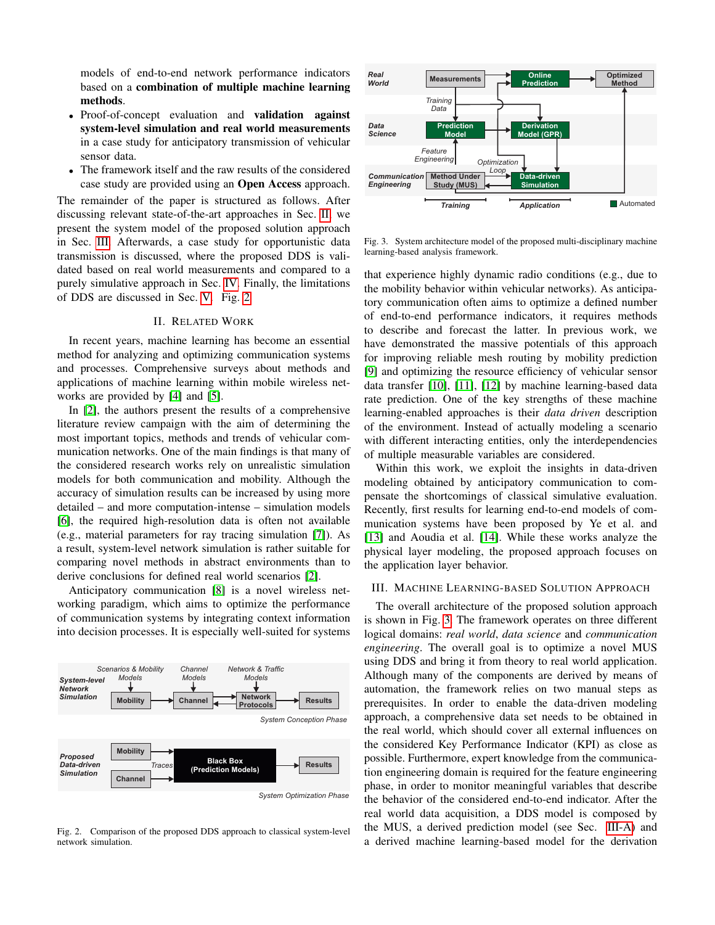models of end-to-end network performance indicators based on a combination of multiple machine learning methods.

- Proof-of-concept evaluation and **validation against** system-level simulation and real world measurements in a case study for anticipatory transmission of vehicular sensor data.
- The framework itself and the raw results of the considered case study are provided using an Open Access approach.

The remainder of the paper is structured as follows. After discussing relevant state-of-the-art approaches in Sec. [II,](#page-1-1) we present the system model of the proposed solution approach in Sec. [III.](#page-1-2) Afterwards, a case study for opportunistic data transmission is discussed, where the proposed DDS is validated based on real world measurements and compared to a purely simulative approach in Sec. [IV.](#page-3-0) Finally, the limitations of DDS are discussed in Sec. [V.](#page-5-0) Fig. [2](#page-1-0)

## II. RELATED WORK

<span id="page-1-1"></span>In recent years, machine learning has become an essential method for analyzing and optimizing communication systems and processes. Comprehensive surveys about methods and applications of machine learning within mobile wireless networks are provided by [\[4\]](#page-6-3) and [\[5\]](#page-6-4).

In [\[2\]](#page-6-1), the authors present the results of a comprehensive literature review campaign with the aim of determining the most important topics, methods and trends of vehicular communication networks. One of the main findings is that many of the considered research works rely on unrealistic simulation models for both communication and mobility. Although the accuracy of simulation results can be increased by using more detailed – and more computation-intense – simulation models [\[6\]](#page-6-5), the required high-resolution data is often not available (e.g., material parameters for ray tracing simulation [\[7\]](#page-6-6)). As a result, system-level network simulation is rather suitable for comparing novel methods in abstract environments than to derive conclusions for defined real world scenarios [\[2\]](#page-6-1).

Anticipatory communication [\[8\]](#page-6-7) is a novel wireless networking paradigm, which aims to optimize the performance of communication systems by integrating context information into decision processes. It is especially well-suited for systems



<span id="page-1-0"></span>*System Optimization Phase*

Fig. 2. Comparison of the proposed DDS approach to classical system-level network simulation.



<span id="page-1-3"></span>Fig. 3. System architecture model of the proposed multi-disciplinary machine learning-based analysis framework.

that experience highly dynamic radio conditions (e.g., due to the mobility behavior within vehicular networks). As anticipatory communication often aims to optimize a defined number of end-to-end performance indicators, it requires methods to describe and forecast the latter. In previous work, we have demonstrated the massive potentials of this approach for improving reliable mesh routing by mobility prediction [\[9\]](#page-6-8) and optimizing the resource efficiency of vehicular sensor data transfer [\[10\]](#page-6-9), [\[11\]](#page-6-10), [\[12\]](#page-6-11) by machine learning-based data rate prediction. One of the key strengths of these machine learning-enabled approaches is their *data driven* description of the environment. Instead of actually modeling a scenario with different interacting entities, only the interdependencies of multiple measurable variables are considered.

Within this work, we exploit the insights in data-driven modeling obtained by anticipatory communication to compensate the shortcomings of classical simulative evaluation. Recently, first results for learning end-to-end models of communication systems have been proposed by Ye et al. and [\[13\]](#page-6-12) and Aoudia et al. [\[14\]](#page-6-13). While these works analyze the physical layer modeling, the proposed approach focuses on the application layer behavior.

#### <span id="page-1-2"></span>III. MACHINE LEARNING-BASED SOLUTION APPROACH

The overall architecture of the proposed solution approach is shown in Fig. [3.](#page-1-3) The framework operates on three different logical domains: *real world*, *data science* and *communication engineering*. The overall goal is to optimize a novel MUS using DDS and bring it from theory to real world application. Although many of the components are derived by means of automation, the framework relies on two manual steps as prerequisites. In order to enable the data-driven modeling approach, a comprehensive data set needs to be obtained in the real world, which should cover all external influences on the considered Key Performance Indicator (KPI) as close as possible. Furthermore, expert knowledge from the communication engineering domain is required for the feature engineering phase, in order to monitor meaningful variables that describe the behavior of the considered end-to-end indicator. After the real world data acquisition, a DDS model is composed by the MUS, a derived prediction model (see Sec. [III-A\)](#page-2-0) and a derived machine learning-based model for the derivation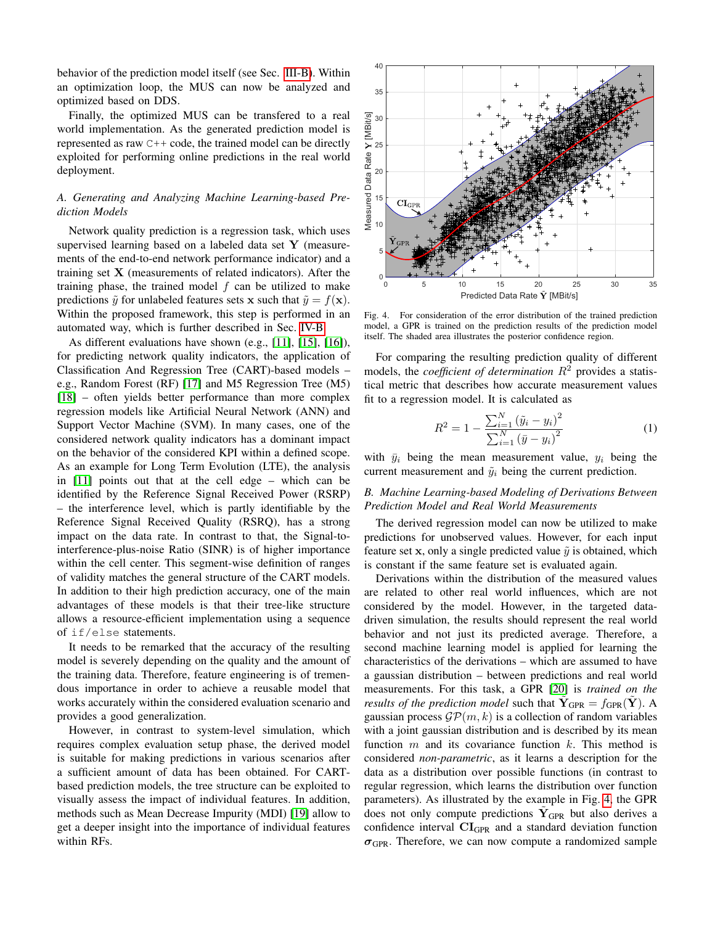behavior of the prediction model itself (see Sec. [III-B\)](#page-2-1). Within an optimization loop, the MUS can now be analyzed and optimized based on DDS.

Finally, the optimized MUS can be transfered to a real world implementation. As the generated prediction model is represented as raw C++ code, the trained model can be directly exploited for performing online predictions in the real world deployment.

# <span id="page-2-0"></span>*A. Generating and Analyzing Machine Learning-based Prediction Models*

Network quality prediction is a regression task, which uses supervised learning based on a labeled data set Y (measurements of the end-to-end network performance indicator) and a training set  $X$  (measurements of related indicators). After the training phase, the trained model  $f$  can be utilized to make predictions  $\tilde{y}$  for unlabeled features sets x such that  $\tilde{y} = f(\mathbf{x})$ . Within the proposed framework, this step is performed in an automated way, which is further described in Sec. [IV-B.](#page-3-1)

As different evaluations have shown (e.g., [\[11\]](#page-6-10), [\[15\]](#page-6-14), [\[16\]](#page-6-15)), for predicting network quality indicators, the application of Classification And Regression Tree (CART)-based models – e.g., Random Forest (RF) [\[17\]](#page-6-16) and M5 Regression Tree (M5) [\[18\]](#page-6-17) – often yields better performance than more complex regression models like Artificial Neural Network (ANN) and Support Vector Machine (SVM). In many cases, one of the considered network quality indicators has a dominant impact on the behavior of the considered KPI within a defined scope. As an example for Long Term Evolution (LTE), the analysis in [\[11\]](#page-6-10) points out that at the cell edge – which can be identified by the Reference Signal Received Power (RSRP) – the interference level, which is partly identifiable by the Reference Signal Received Quality (RSRQ), has a strong impact on the data rate. In contrast to that, the Signal-tointerference-plus-noise Ratio (SINR) is of higher importance within the cell center. This segment-wise definition of ranges of validity matches the general structure of the CART models. In addition to their high prediction accuracy, one of the main advantages of these models is that their tree-like structure allows a resource-efficient implementation using a sequence of if/else statements.

It needs to be remarked that the accuracy of the resulting model is severely depending on the quality and the amount of the training data. Therefore, feature engineering is of tremendous importance in order to achieve a reusable model that works accurately within the considered evaluation scenario and provides a good generalization.

However, in contrast to system-level simulation, which requires complex evaluation setup phase, the derived model is suitable for making predictions in various scenarios after a sufficient amount of data has been obtained. For CARTbased prediction models, the tree structure can be exploited to visually assess the impact of individual features. In addition, methods such as Mean Decrease Impurity (MDI) [\[19\]](#page-6-18) allow to get a deeper insight into the importance of individual features within RFs.



Fig. 4. For consideration of the error distribution of the trained prediction model, a GPR is trained on the prediction results of the prediction model itself. The shaded area illustrates the posterior confidence region.

For comparing the resulting prediction quality of different models, the *coefficient of determination*  $R^2$  provides a statistical metric that describes how accurate measurement values fit to a regression model. It is calculated as

<span id="page-2-2"></span>
$$
R^{2} = 1 - \frac{\sum_{i=1}^{N} (\tilde{y}_{i} - y_{i})^{2}}{\sum_{i=1}^{N} (\bar{y} - y_{i})^{2}}
$$
(1)

with  $\bar{y}_i$  being the mean measurement value,  $y_i$  being the current measurement and  $\tilde{y}_i$  being the current prediction.

# <span id="page-2-1"></span>*B. Machine Learning-based Modeling of Derivations Between Prediction Model and Real World Measurements*

The derived regression model can now be utilized to make predictions for unobserved values. However, for each input feature set x, only a single predicted value  $\tilde{y}$  is obtained, which is constant if the same feature set is evaluated again.

Derivations within the distribution of the measured values are related to other real world influences, which are not considered by the model. However, in the targeted datadriven simulation, the results should represent the real world behavior and not just its predicted average. Therefore, a second machine learning model is applied for learning the characteristics of the derivations – which are assumed to have a gaussian distribution – between predictions and real world measurements. For this task, a GPR [\[20\]](#page-6-19) is *trained on the results of the prediction model* such that  $\tilde{\mathbf{Y}}_{\text{GPR}} = f_{\text{GPR}}(\tilde{\mathbf{Y}})$ . A gaussian process  $\mathcal{GP}(m, k)$  is a collection of random variables with a joint gaussian distribution and is described by its mean function  $m$  and its covariance function  $k$ . This method is considered *non-parametric*, as it learns a description for the data as a distribution over possible functions (in contrast to regular regression, which learns the distribution over function parameters). As illustrated by the example in Fig. [4,](#page-2-2) the GPR does not only compute predictions  $\tilde{Y}_{\text{GPR}}$  but also derives a confidence interval CIGPR and a standard deviation function  $\sigma_{\text{GPR}}$ . Therefore, we can now compute a randomized sample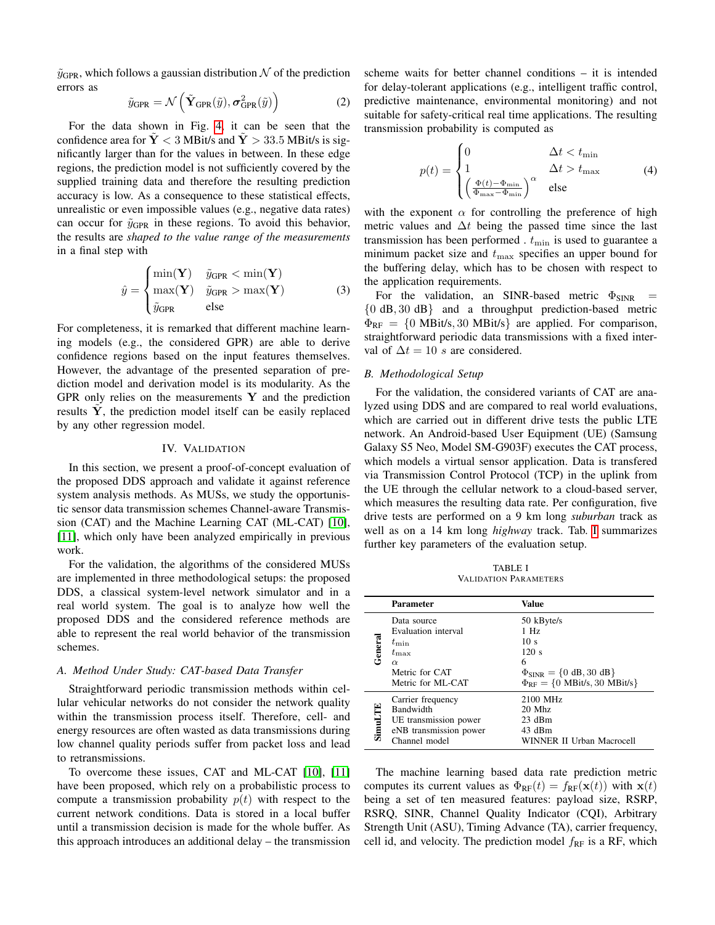$\tilde{y}_{\text{GPR}}$ , which follows a gaussian distribution N of the prediction errors as

$$
\tilde{y}_{\text{GPR}} = \mathcal{N}\left(\tilde{\mathbf{Y}}_{\text{GPR}}(\tilde{y}), \sigma_{\text{GPR}}^2(\tilde{y})\right) \tag{2}
$$

For the data shown in Fig. [4,](#page-2-2) it can be seen that the confidence area for  $\dot{Y}$  < 3 MBit/s and  $\dot{Y}$  > 33.5 MBit/s is significantly larger than for the values in between. In these edge regions, the prediction model is not sufficiently covered by the supplied training data and therefore the resulting prediction accuracy is low. As a consequence to these statistical effects, unrealistic or even impossible values (e.g., negative data rates) can occur for  $\tilde{y}_{\text{GPR}}$  in these regions. To avoid this behavior, the results are *shaped to the value range of the measurements* in a final step with

$$
\hat{y} = \begin{cases} \min(\mathbf{Y}) & \tilde{y}_{\text{GPR}} < \min(\mathbf{Y})\\ \max(\mathbf{Y}) & \tilde{y}_{\text{GPR}} > \max(\mathbf{Y}) \end{cases} \tag{3}
$$
\n
$$
\hat{y}_{\text{GPR}} = \text{else}
$$

For completeness, it is remarked that different machine learning models (e.g., the considered GPR) are able to derive confidence regions based on the input features themselves. However, the advantage of the presented separation of prediction model and derivation model is its modularity. As the GPR only relies on the measurements  $Y$  and the prediction results  $Y$ , the prediction model itself can be easily replaced by any other regression model.

## IV. VALIDATION

<span id="page-3-0"></span>In this section, we present a proof-of-concept evaluation of the proposed DDS approach and validate it against reference system analysis methods. As MUSs, we study the opportunistic sensor data transmission schemes Channel-aware Transmission (CAT) and the Machine Learning CAT (ML-CAT) [\[10\]](#page-6-9), [\[11\]](#page-6-10), which only have been analyzed empirically in previous work.

For the validation, the algorithms of the considered MUSs are implemented in three methodological setups: the proposed DDS, a classical system-level network simulator and in a real world system. The goal is to analyze how well the proposed DDS and the considered reference methods are able to represent the real world behavior of the transmission schemes.

#### *A. Method Under Study: CAT-based Data Transfer*

Straightforward periodic transmission methods within cellular vehicular networks do not consider the network quality within the transmission process itself. Therefore, cell- and energy resources are often wasted as data transmissions during low channel quality periods suffer from packet loss and lead to retransmissions.

To overcome these issues, CAT and ML-CAT [\[10\]](#page-6-9), [\[11\]](#page-6-10) have been proposed, which rely on a probabilistic process to compute a transmission probability  $p(t)$  with respect to the current network conditions. Data is stored in a local buffer until a transmission decision is made for the whole buffer. As this approach introduces an additional delay – the transmission scheme waits for better channel conditions – it is intended for delay-tolerant applications (e.g., intelligent traffic control, predictive maintenance, environmental monitoring) and not suitable for safety-critical real time applications. The resulting transmission probability is computed as

$$
p(t) = \begin{cases} 0 & \Delta t < t_{\min} \\ 1 & \Delta t > t_{\max} \\ \left(\frac{\Phi(t) - \Phi_{\min}}{\Phi_{\max} - \Phi_{\min}}\right)^{\alpha} & \text{else} \end{cases}
$$
(4)

with the exponent  $\alpha$  for controlling the preference of high metric values and  $\Delta t$  being the passed time since the last transmission has been performed  $t_{\min}$  is used to guarantee a minimum packet size and  $t_{\text{max}}$  specifies an upper bound for the buffering delay, which has to be chosen with respect to the application requirements.

For the validation, an SINR-based metric  $\Phi_{\text{SINR}}$ {0 dB, 30 dB} and a throughput prediction-based metric  $\Phi_{\text{RF}} = \{0 \text{ MBit/s}, 30 \text{ MBit/s}\}\$ are applied. For comparison, straightforward periodic data transmissions with a fixed interval of  $\Delta t = 10$  s are considered.

## <span id="page-3-1"></span>*B. Methodological Setup*

For the validation, the considered variants of CAT are analyzed using DDS and are compared to real world evaluations, which are carried out in different drive tests the public LTE network. An Android-based User Equipment (UE) (Samsung Galaxy S5 Neo, Model SM-G903F) executes the CAT process, which models a virtual sensor application. Data is transfered via Transmission Control Protocol (TCP) in the uplink from the UE through the cellular network to a cloud-based server, which measures the resulting data rate. Per configuration, five drive tests are performed on a 9 km long *suburban* track as well as on a 14 km long *highway* track. Tab. [I](#page-3-2) summarizes further key parameters of the evaluation setup.

TABLE I VALIDATION PARAMETERS

<span id="page-3-2"></span>

|                | <b>Parameter</b>                                                                                                     | Value                                                                                                                                                                             |
|----------------|----------------------------------------------------------------------------------------------------------------------|-----------------------------------------------------------------------------------------------------------------------------------------------------------------------------------|
| General        | Data source<br>Evaluation interval<br>$t_{\min}$<br>$t_{\rm max}$<br>$\alpha$<br>Metric for CAT<br>Metric for ML-CAT | 50 kByte/s<br>$1$ Hz<br>10 <sub>s</sub><br>120 s<br>6<br>$\Phi_{\text{SINR}} = \{0 \text{ dB}, 30 \text{ dB}\}\$<br>$\Phi_{\text{RF}} = \{0 \text{ MBit/s}, 30 \text{ MBit/s}\}\$ |
| <b>SimuLTE</b> | Carrier frequency<br><b>Bandwidth</b><br>UE transmission power<br>eNB transmission power<br>Channel model            | 2100 MHz<br>$20$ Mhz<br>$23$ dBm<br>43 dBm<br>WINNER II Urban Macrocell                                                                                                           |

The machine learning based data rate prediction metric computes its current values as  $\Phi_{RF}(t) = f_{RF}(\mathbf{x}(t))$  with  $\mathbf{x}(t)$ being a set of ten measured features: payload size, RSRP, RSRQ, SINR, Channel Quality Indicator (CQI), Arbitrary Strength Unit (ASU), Timing Advance (TA), carrier frequency, cell id, and velocity. The prediction model  $f_{RF}$  is a RF, which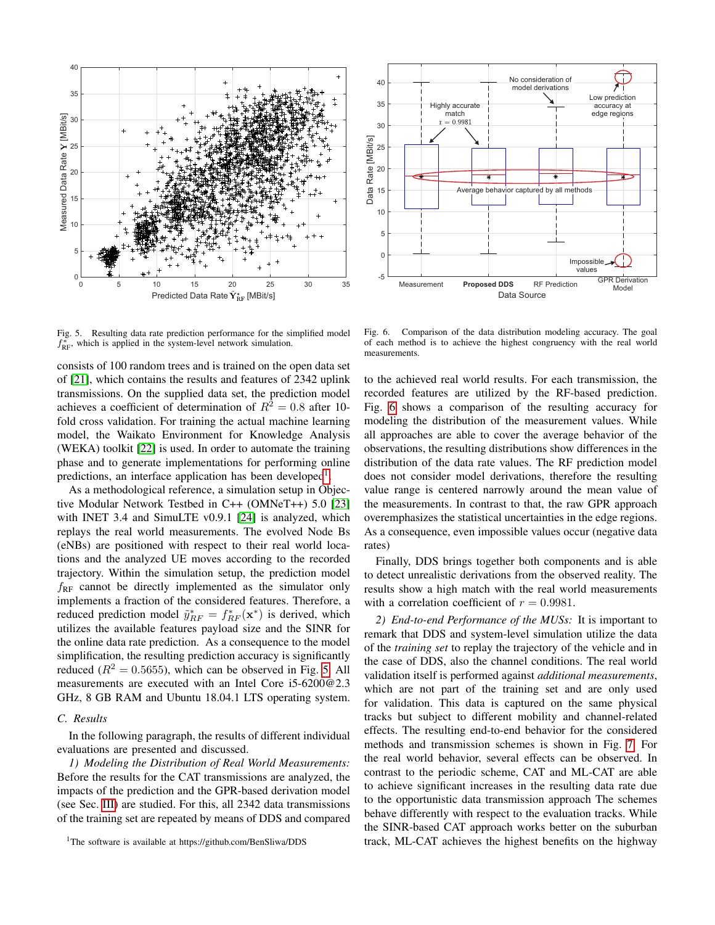



<span id="page-4-1"></span>Fig. 5. Resulting data rate prediction performance for the simplified model  $f_{\text{RF}}^*$ , which is applied in the system-level network simulation.

consists of 100 random trees and is trained on the open data set of [\[21\]](#page-6-20), which contains the results and features of 2342 uplink transmissions. On the supplied data set, the prediction model achieves a coefficient of determination of  $R^2 = 0.8$  after 10fold cross validation. For training the actual machine learning model, the Waikato Environment for Knowledge Analysis (WEKA) toolkit [\[22\]](#page-6-21) is used. In order to automate the training phase and to generate implementations for performing online predictions, an interface application has been developed<sup>[1](#page-4-0)</sup>.

As a methodological reference, a simulation setup in Objective Modular Network Testbed in C++ (OMNeT++) 5.0 [\[23\]](#page-6-22) with INET 3.4 and SimuLTE v0.9.1 [\[24\]](#page-6-23) is analyzed, which replays the real world measurements. The evolved Node Bs (eNBs) are positioned with respect to their real world locations and the analyzed UE moves according to the recorded trajectory. Within the simulation setup, the prediction model  $f_{RF}$  cannot be directly implemented as the simulator only implements a fraction of the considered features. Therefore, a reduced prediction model  $\tilde{y}_{RF}^* = f_{RF}^*(\mathbf{x}^*)$  is derived, which utilizes the available features payload size and the SINR for the online data rate prediction. As a consequence to the model simplification, the resulting prediction accuracy is significantly reduced ( $R^2 = 0.5655$ ), which can be observed in Fig. [5.](#page-4-1) All measurements are executed with an Intel Core i5-6200@2.3 GHz, 8 GB RAM and Ubuntu 18.04.1 LTS operating system.

# *C. Results*

In the following paragraph, the results of different individual evaluations are presented and discussed.

*1) Modeling the Distribution of Real World Measurements:* Before the results for the CAT transmissions are analyzed, the impacts of the prediction and the GPR-based derivation model (see Sec. [III\)](#page-1-2) are studied. For this, all 2342 data transmissions of the training set are repeated by means of DDS and compared

<span id="page-4-2"></span>Fig. 6. Comparison of the data distribution modeling accuracy. The goal of each method is to achieve the highest congruency with the real world measurements.

to the achieved real world results. For each transmission, the recorded features are utilized by the RF-based prediction. Fig. [6](#page-4-2) shows a comparison of the resulting accuracy for modeling the distribution of the measurement values. While all approaches are able to cover the average behavior of the observations, the resulting distributions show differences in the distribution of the data rate values. The RF prediction model does not consider model derivations, therefore the resulting value range is centered narrowly around the mean value of the measurements. In contrast to that, the raw GPR approach overemphasizes the statistical uncertainties in the edge regions. As a consequence, even impossible values occur (negative data rates)

Finally, DDS brings together both components and is able to detect unrealistic derivations from the observed reality. The results show a high match with the real world measurements with a correlation coefficient of  $r = 0.9981$ .

*2) End-to-end Performance of the MUSs:* It is important to remark that DDS and system-level simulation utilize the data of the *training set* to replay the trajectory of the vehicle and in the case of DDS, also the channel conditions. The real world validation itself is performed against *additional measurements*, which are not part of the training set and are only used for validation. This data is captured on the same physical tracks but subject to different mobility and channel-related effects. The resulting end-to-end behavior for the considered methods and transmission schemes is shown in Fig. [7.](#page-5-1) For the real world behavior, several effects can be observed. In contrast to the periodic scheme, CAT and ML-CAT are able to achieve significant increases in the resulting data rate due to the opportunistic data transmission approach The schemes behave differently with respect to the evaluation tracks. While the SINR-based CAT approach works better on the suburban track, ML-CAT achieves the highest benefits on the highway

<span id="page-4-0"></span><sup>&</sup>lt;sup>1</sup>The software is available at https://github.com/BenSliwa/DDS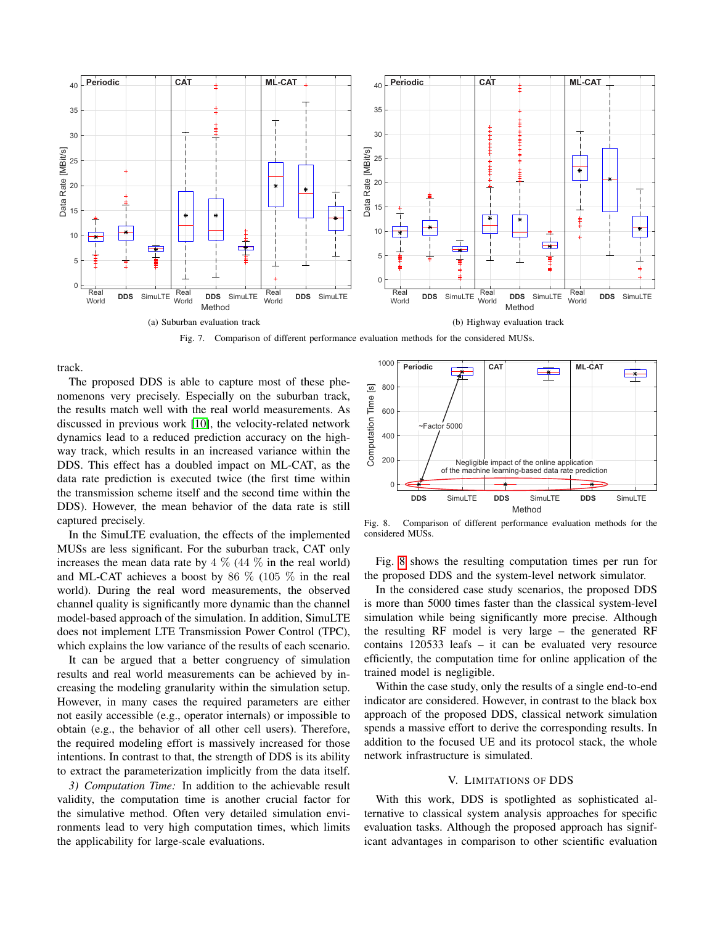

Fig. 7. Comparison of different performance evaluation methods for the considered MUSs.

<span id="page-5-1"></span>track.

The proposed DDS is able to capture most of these phenomenons very precisely. Especially on the suburban track, the results match well with the real world measurements. As discussed in previous work [\[10\]](#page-6-9), the velocity-related network dynamics lead to a reduced prediction accuracy on the highway track, which results in an increased variance within the DDS. This effect has a doubled impact on ML-CAT, as the data rate prediction is executed twice (the first time within the transmission scheme itself and the second time within the DDS). However, the mean behavior of the data rate is still captured precisely.

In the SimuLTE evaluation, the effects of the implemented MUSs are less significant. For the suburban track, CAT only increases the mean data rate by  $4\%$  ( $44\%$  in the real world) and ML-CAT achieves a boost by 86  $\%$  (105  $\%$  in the real world). During the real word measurements, the observed channel quality is significantly more dynamic than the channel model-based approach of the simulation. In addition, SimuLTE does not implement LTE Transmission Power Control (TPC), which explains the low variance of the results of each scenario.

It can be argued that a better congruency of simulation results and real world measurements can be achieved by increasing the modeling granularity within the simulation setup. However, in many cases the required parameters are either not easily accessible (e.g., operator internals) or impossible to obtain (e.g., the behavior of all other cell users). Therefore, the required modeling effort is massively increased for those intentions. In contrast to that, the strength of DDS is its ability to extract the parameterization implicitly from the data itself.

*3) Computation Time:* In addition to the achievable result validity, the computation time is another crucial factor for the simulative method. Often very detailed simulation environments lead to very high computation times, which limits the applicability for large-scale evaluations.



<span id="page-5-2"></span>Fig. 8. Comparison of different performance evaluation methods for the considered MUSs.

Fig. [8](#page-5-2) shows the resulting computation times per run for the proposed DDS and the system-level network simulator.

In the considered case study scenarios, the proposed DDS is more than 5000 times faster than the classical system-level simulation while being significantly more precise. Although the resulting RF model is very large – the generated RF contains 120533 leafs – it can be evaluated very resource efficiently, the computation time for online application of the trained model is negligible.

Within the case study, only the results of a single end-to-end indicator are considered. However, in contrast to the black box approach of the proposed DDS, classical network simulation spends a massive effort to derive the corresponding results. In addition to the focused UE and its protocol stack, the whole network infrastructure is simulated.

## V. LIMITATIONS OF DDS

<span id="page-5-0"></span>With this work, DDS is spotlighted as sophisticated alternative to classical system analysis approaches for specific evaluation tasks. Although the proposed approach has significant advantages in comparison to other scientific evaluation